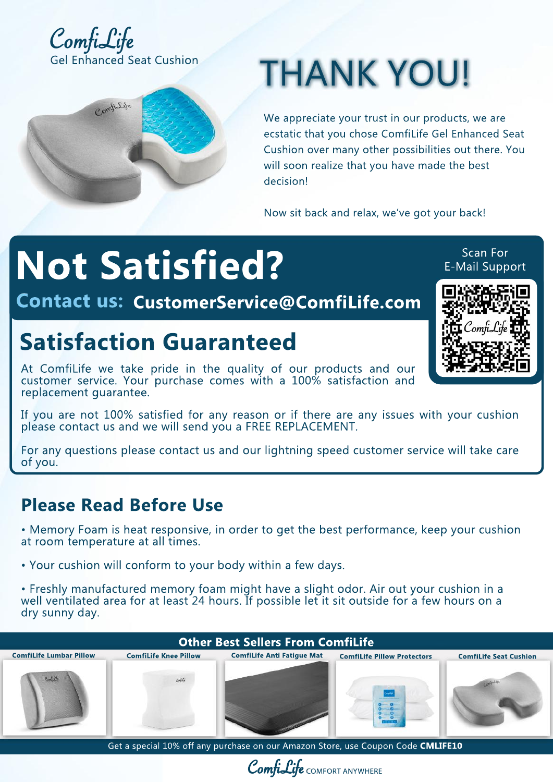



# **THANK YOU!**

We appreciate your trust in our products, we are ecstatic that you chose ComfiLife Gel Enhanced Seat Cushion over many other possibilities out there. You will soon realize that you have made the best decision!

Now sit back and relax, we've got your back!

## **Not Satisfied?**

**Contact us: CustomerService@ComfiLife.com** 

#### **Satisfaction Guaranteed**

At Comfilife we take pride in the quality of our products and our customer service. Your purchase comes with a 100% satisfaction and replacement quarantee.

If you are not 100% satisfied for any reason or if there are any issues with your cushion please contact us and we will send you a FREE REPLACEMENT.

For any questions please contact us and our lightning speed customer service will take care of you.

#### **Please Read Before Use**

• Memory Foam is heat responsive, in order to get the best performance, keep your cushion at room temperature at all times.

• Your cushion will conform to your body within a few days.

• Freshly manufactured memory foam might have a slight odor. Air out your cushion in a well ventilated area for at least 24 hours. If possible let it sit outside for a few hours on a dry sunny day.

### **Other Best Sellers From ComfiLife ComfiLife Lumbar Pillow ComfiLife Knee Pillow <b>ComfiLife Anti Fatigue Mat ComfiLife Pillow Protectors ComfiLife Seat Cushion** كالقدم Get a special 10% off any purchase on our Amazon Store, use Coupon Code **CMLIFE10**



Scan For **E-Mail Support**